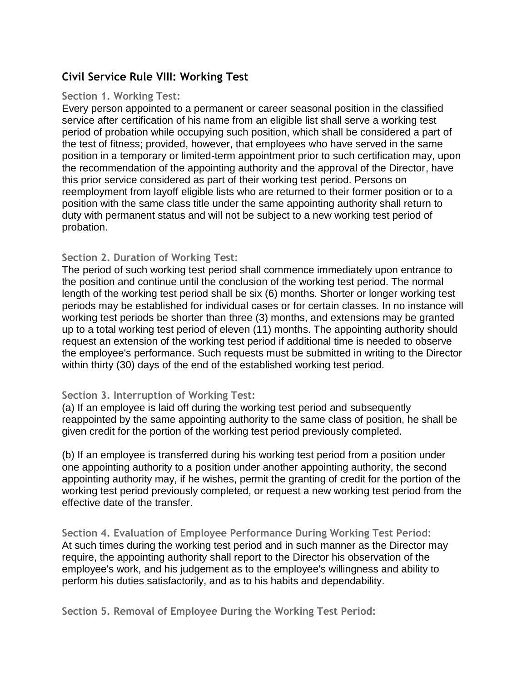# **Civil Service Rule VIII: Working Test**

### **Section 1. Working Test:**

Every person appointed to a permanent or career seasonal position in the classified service after certification of his name from an eligible list shall serve a working test period of probation while occupying such position, which shall be considered a part of the test of fitness; provided, however, that employees who have served in the same position in a temporary or limited-term appointment prior to such certification may, upon the recommendation of the appointing authority and the approval of the Director, have this prior service considered as part of their working test period. Persons on reemployment from layoff eligible lists who are returned to their former position or to a position with the same class title under the same appointing authority shall return to duty with permanent status and will not be subject to a new working test period of probation.

## **Section 2. Duration of Working Test:**

The period of such working test period shall commence immediately upon entrance to the position and continue until the conclusion of the working test period. The normal length of the working test period shall be six (6) months. Shorter or longer working test periods may be established for individual cases or for certain classes. In no instance will working test periods be shorter than three (3) months, and extensions may be granted up to a total working test period of eleven (11) months. The appointing authority should request an extension of the working test period if additional time is needed to observe the employee's performance. Such requests must be submitted in writing to the Director within thirty (30) days of the end of the established working test period.

## **Section 3. Interruption of Working Test:**

(a) If an employee is laid off during the working test period and subsequently reappointed by the same appointing authority to the same class of position, he shall be given credit for the portion of the working test period previously completed.

(b) If an employee is transferred during his working test period from a position under one appointing authority to a position under another appointing authority, the second appointing authority may, if he wishes, permit the granting of credit for the portion of the working test period previously completed, or request a new working test period from the effective date of the transfer.

**Section 4. Evaluation of Employee Performance During Working Test Period:** At such times during the working test period and in such manner as the Director may require, the appointing authority shall report to the Director his observation of the employee's work, and his judgement as to the employee's willingness and ability to perform his duties satisfactorily, and as to his habits and dependability.

**Section 5. Removal of Employee During the Working Test Period:**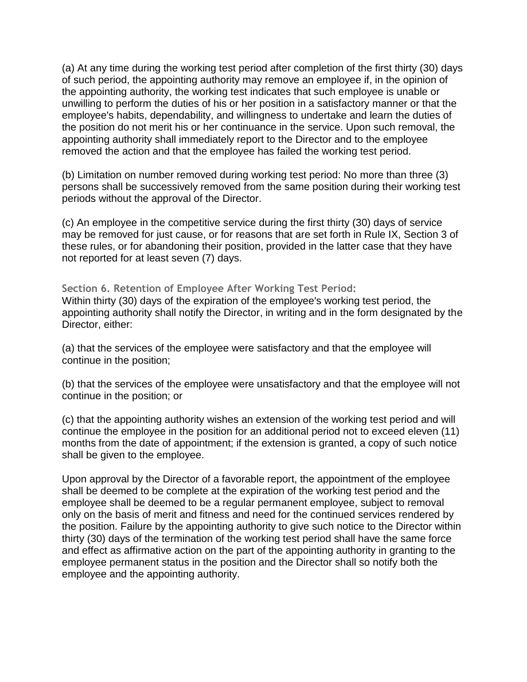(a) At any time during the working test period after completion of the first thirty (30) days of such period, the appointing authority may remove an employee if, in the opinion of the appointing authority, the working test indicates that such employee is unable or unwilling to perform the duties of his or her position in a satisfactory manner or that the employee's habits, dependability, and willingness to undertake and learn the duties of the position do not merit his or her continuance in the service. Upon such removal, the appointing authority shall immediately report to the Director and to the employee removed the action and that the employee has failed the working test period.

(b) Limitation on number removed during working test period: No more than three (3) persons shall be successively removed from the same position during their working test periods without the approval of the Director.

(c) An employee in the competitive service during the first thirty (30) days of service may be removed for just cause, or for reasons that are set forth in Rule IX, Section 3 of these rules, or for abandoning their position, provided in the latter case that they have not reported for at least seven (7) days.

**Section 6. Retention of Employee After Working Test Period:** Within thirty (30) days of the expiration of the employee's working test period, the appointing authority shall notify the Director, in writing and in the form designated by the Director, either:

(a) that the services of the employee were satisfactory and that the employee will continue in the position;

(b) that the services of the employee were unsatisfactory and that the employee will not continue in the position; or

(c) that the appointing authority wishes an extension of the working test period and will continue the employee in the position for an additional period not to exceed eleven (11) months from the date of appointment; if the extension is granted, a copy of such notice shall be given to the employee.

Upon approval by the Director of a favorable report, the appointment of the employee shall be deemed to be complete at the expiration of the working test period and the employee shall be deemed to be a regular permanent employee, subject to removal only on the basis of merit and fitness and need for the continued services rendered by the position. Failure by the appointing authority to give such notice to the Director within thirty (30) days of the termination of the working test period shall have the same force and effect as affirmative action on the part of the appointing authority in granting to the employee permanent status in the position and the Director shall so notify both the employee and the appointing authority.